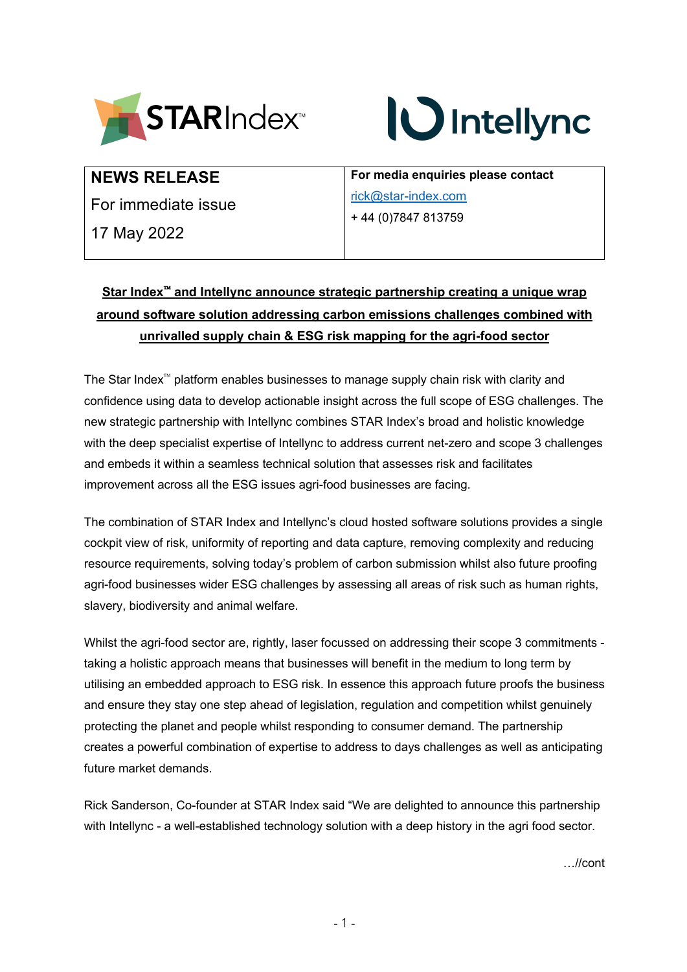



# **NEWS RELEASE**

For immediate issue

17 May 2022

**For media enquiries please contact**  rick@star-index.com + 44 (0)7847 813759

# Star Index<sup>™</sup> and Intellync announce strategic partnership creating a unique wrap **around software solution addressing carbon emissions challenges combined with unrivalled supply chain & ESG risk mapping for the agri-food sector**

The Star Index<sup> $\approx$ </sup> platform enables businesses to manage supply chain risk with clarity and confidence using data to develop actionable insight across the full scope of ESG challenges. The new strategic partnership with Intellync combines STAR Index's broad and holistic knowledge with the deep specialist expertise of Intellync to address current net-zero and scope 3 challenges and embeds it within a seamless technical solution that assesses risk and facilitates improvement across all the ESG issues agri-food businesses are facing.

The combination of STAR Index and Intellync's cloud hosted software solutions provides a single cockpit view of risk, uniformity of reporting and data capture, removing complexity and reducing resource requirements, solving today's problem of carbon submission whilst also future proofing agri-food businesses wider ESG challenges by assessing all areas of risk such as human rights, slavery, biodiversity and animal welfare.

Whilst the agri-food sector are, rightly, laser focussed on addressing their scope 3 commitments taking a holistic approach means that businesses will benefit in the medium to long term by utilising an embedded approach to ESG risk. In essence this approach future proofs the business and ensure they stay one step ahead of legislation, regulation and competition whilst genuinely protecting the planet and people whilst responding to consumer demand. The partnership creates a powerful combination of expertise to address to days challenges as well as anticipating future market demands.

Rick Sanderson, Co-founder at STAR Index said "We are delighted to announce this partnership with Intellync - a well-established technology solution with a deep history in the agri food sector.

…//cont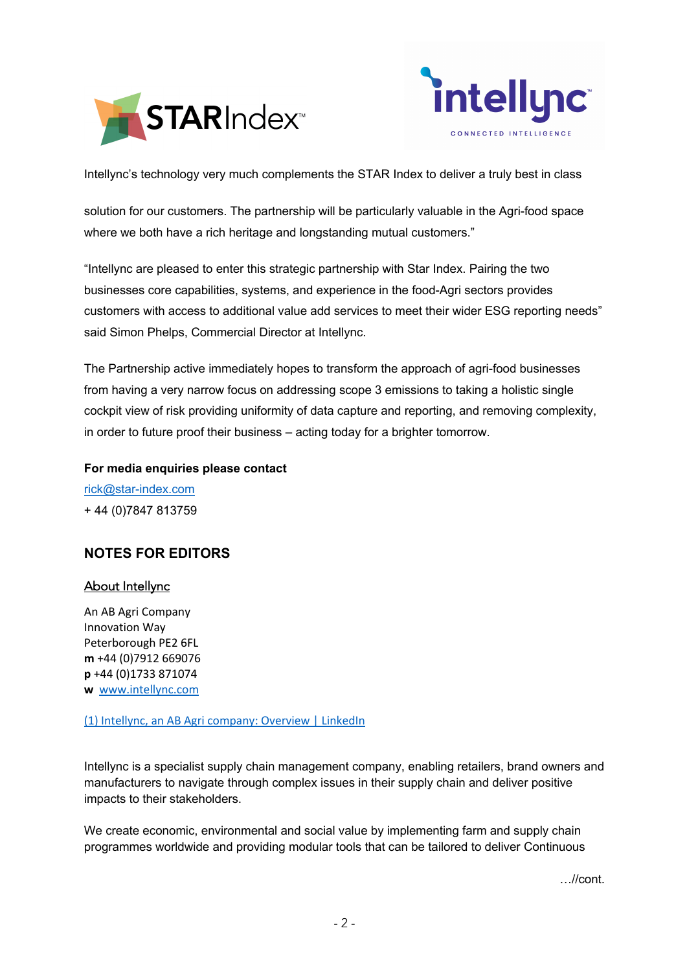



Intellync's technology very much complements the STAR Index to deliver a truly best in class

solution for our customers. The partnership will be particularly valuable in the Agri-food space where we both have a rich heritage and longstanding mutual customers."

"Intellync are pleased to enter this strategic partnership with Star Index. Pairing the two businesses core capabilities, systems, and experience in the food-Agri sectors provides customers with access to additional value add services to meet their wider ESG reporting needs" said Simon Phelps, Commercial Director at Intellync.

The Partnership active immediately hopes to transform the approach of agri-food businesses from having a very narrow focus on addressing scope 3 emissions to taking a holistic single cockpit view of risk providing uniformity of data capture and reporting, and removing complexity, in order to future proof their business – acting today for a brighter tomorrow.

**For media enquiries please contact** 

rick@star-index.com + 44 (0)7847 813759

## **NOTES FOR EDITORS**

#### About Intellync

An AB Agri Company Innovation Way Peterborough PE2 6FL **m** +44 (0)7912 669076 **p** +44 (0)1733 871074 **w** www.intellync.com

(1) Intellync, an AB Agri company: Overview | LinkedIn

Intellync is a specialist supply chain management company, enabling retailers, brand owners and manufacturers to navigate through complex issues in their supply chain and deliver positive impacts to their stakeholders.

We create economic, environmental and social value by implementing farm and supply chain programmes worldwide and providing modular tools that can be tailored to deliver Continuous

…//cont.